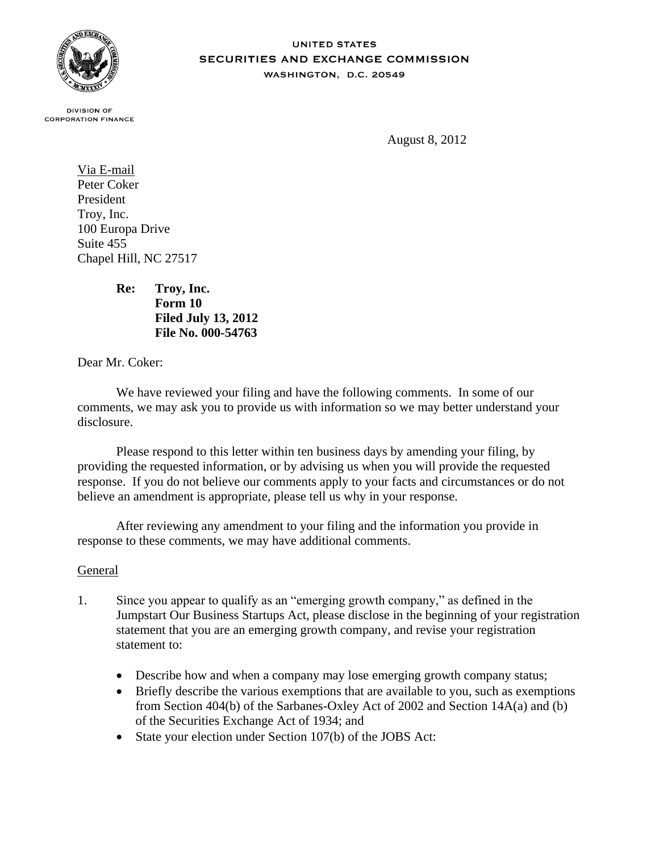

## **UNITED STATES SECURITIES AND EXCHANGE COMMISSION** WASHINGTON, D.C. 20549

**DIVISION OF CORPORATION FINANCE** 

August 8, 2012

Via E-mail Peter Coker President Troy, Inc. 100 Europa Drive Suite 455 Chapel Hill, NC 27517

> **Re: Troy, Inc. Form 10 Filed July 13, 2012 File No. 000-54763**

Dear Mr. Coker:

We have reviewed your filing and have the following comments. In some of our comments, we may ask you to provide us with information so we may better understand your disclosure.

Please respond to this letter within ten business days by amending your filing, by providing the requested information, or by advising us when you will provide the requested response. If you do not believe our comments apply to your facts and circumstances or do not believe an amendment is appropriate, please tell us why in your response.

After reviewing any amendment to your filing and the information you provide in response to these comments, we may have additional comments.

## General

- 1. Since you appear to qualify as an "emerging growth company," as defined in the Jumpstart Our Business Startups Act, please disclose in the beginning of your registration statement that you are an emerging growth company, and revise your registration statement to:
	- Describe how and when a company may lose emerging growth company status;
	- Briefly describe the various exemptions that are available to you, such as exemptions from Section 404(b) of the Sarbanes-Oxley Act of 2002 and Section 14A(a) and (b) of the Securities Exchange Act of 1934; and
	- State your election under Section 107(b) of the JOBS Act: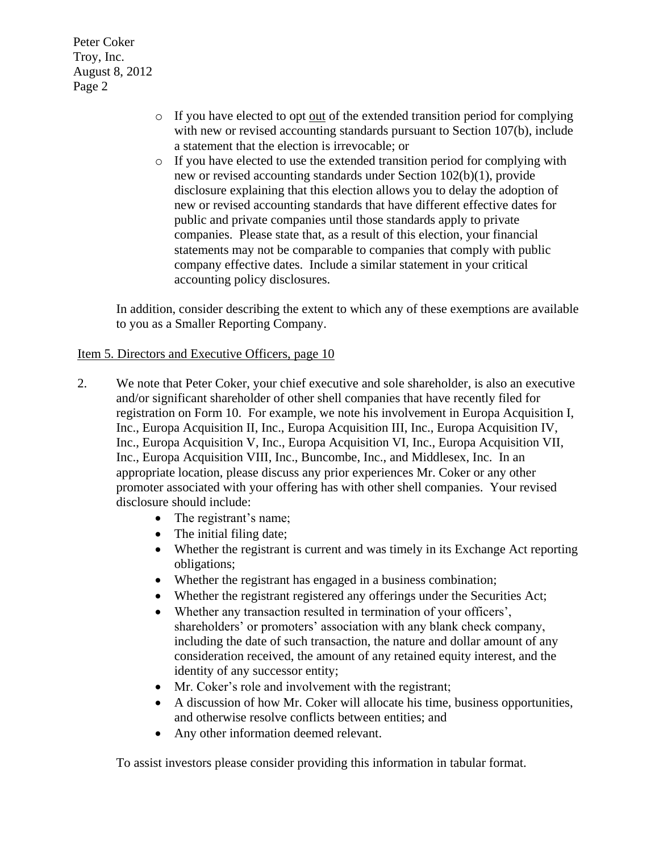Peter Coker Troy, Inc. August 8, 2012 Page 2

- $\circ$  If you have elected to opt out of the extended transition period for complying with new or revised accounting standards pursuant to Section 107(b), include a statement that the election is irrevocable; or
- o If you have elected to use the extended transition period for complying with new or revised accounting standards under Section 102(b)(1), provide disclosure explaining that this election allows you to delay the adoption of new or revised accounting standards that have different effective dates for public and private companies until those standards apply to private companies. Please state that, as a result of this election, your financial statements may not be comparable to companies that comply with public company effective dates. Include a similar statement in your critical accounting policy disclosures.

In addition, consider describing the extent to which any of these exemptions are available to you as a Smaller Reporting Company.

## Item 5. Directors and Executive Officers, page 10

- 2. We note that Peter Coker, your chief executive and sole shareholder, is also an executive and/or significant shareholder of other shell companies that have recently filed for registration on Form 10. For example, we note his involvement in Europa Acquisition I, Inc., Europa Acquisition II, Inc., Europa Acquisition III, Inc., Europa Acquisition IV, Inc., Europa Acquisition V, Inc., Europa Acquisition VI, Inc., Europa Acquisition VII, Inc., Europa Acquisition VIII, Inc., Buncombe, Inc., and Middlesex, Inc. In an appropriate location, please discuss any prior experiences Mr. Coker or any other promoter associated with your offering has with other shell companies. Your revised disclosure should include:
	- The registrant's name;
	- The initial filing date;
	- Whether the registrant is current and was timely in its Exchange Act reporting obligations;
	- Whether the registrant has engaged in a business combination;
	- Whether the registrant registered any offerings under the Securities Act;
	- Whether any transaction resulted in termination of your officers', shareholders' or promoters' association with any blank check company, including the date of such transaction, the nature and dollar amount of any consideration received, the amount of any retained equity interest, and the identity of any successor entity;
	- Mr. Coker's role and involvement with the registrant;
	- A discussion of how Mr. Coker will allocate his time, business opportunities, and otherwise resolve conflicts between entities; and
	- Any other information deemed relevant.

To assist investors please consider providing this information in tabular format.